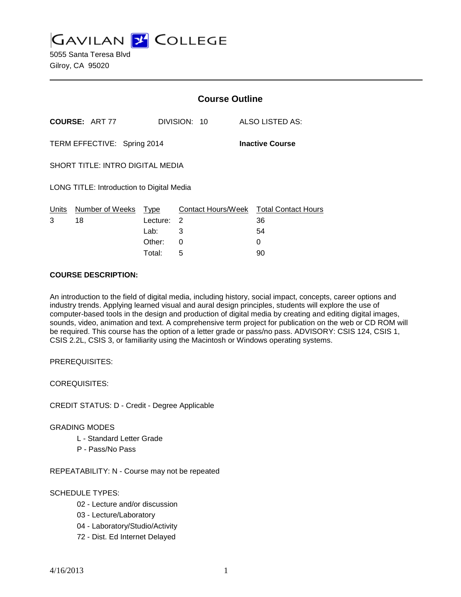**GAVILAN J' COLLEGE** 

5055 Santa Teresa Blvd Gilroy, CA 95020

|                                           |                             |            | <b>Course Outline</b> |                                        |  |
|-------------------------------------------|-----------------------------|------------|-----------------------|----------------------------------------|--|
|                                           | <b>COURSE: ART 77</b>       |            | DIVISION: 10          | ALSO LISTED AS:                        |  |
|                                           | TERM EFFECTIVE: Spring 2014 |            |                       | <b>Inactive Course</b>                 |  |
| <b>SHORT TITLE: INTRO DIGITAL MEDIA</b>   |                             |            |                       |                                        |  |
| LONG TITLE: Introduction to Digital Media |                             |            |                       |                                        |  |
|                                           | Units Number of Weeks       | Type       |                       | Contact Hours/Week Total Contact Hours |  |
| 3                                         | 18                          | Lecture: 2 |                       | 36                                     |  |
|                                           |                             | Lab: Lab   | 3                     | 54                                     |  |
|                                           |                             | Other:     | 0                     | 0                                      |  |
|                                           |                             | Total:     | 5                     | 90                                     |  |

#### **COURSE DESCRIPTION:**

An introduction to the field of digital media, including history, social impact, concepts, career options and industry trends. Applying learned visual and aural design principles, students will explore the use of computer-based tools in the design and production of digital media by creating and editing digital images, sounds, video, animation and text. A comprehensive term project for publication on the web or CD ROM will be required. This course has the option of a letter grade or pass/no pass. ADVISORY: CSIS 124, CSIS 1, CSIS 2.2L, CSIS 3, or familiarity using the Macintosh or Windows operating systems.

PREREQUISITES:

COREQUISITES:

CREDIT STATUS: D - Credit - Degree Applicable

#### GRADING MODES

- L Standard Letter Grade
- P Pass/No Pass

REPEATABILITY: N - Course may not be repeated

## SCHEDULE TYPES:

- 02 Lecture and/or discussion
- 03 Lecture/Laboratory
- 04 Laboratory/Studio/Activity
- 72 Dist. Ed Internet Delayed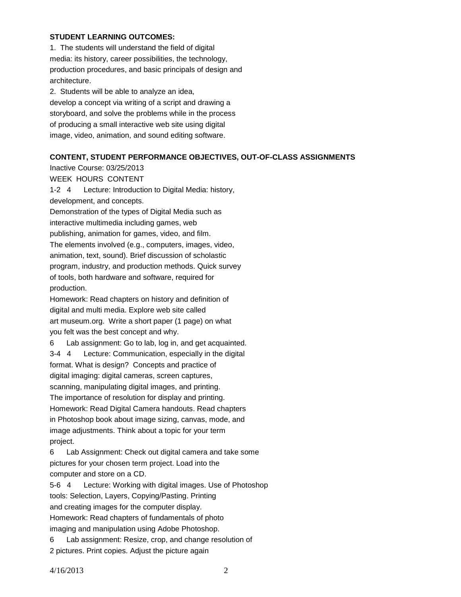### **STUDENT LEARNING OUTCOMES:**

1. The students will understand the field of digital media: its history, career possibilities, the technology, production procedures, and basic principals of design and architecture.

2. Students will be able to analyze an idea, develop a concept via writing of a script and drawing a storyboard, and solve the problems while in the process of producing a small interactive web site using digital image, video, animation, and sound editing software.

#### **CONTENT, STUDENT PERFORMANCE OBJECTIVES, OUT-OF-CLASS ASSIGNMENTS**

Inactive Course: 03/25/2013

WEEK HOURS CONTENT

1-2 4 Lecture: Introduction to Digital Media: history, development, and concepts.

Demonstration of the types of Digital Media such as interactive multimedia including games, web publishing, animation for games, video, and film. The elements involved (e.g., computers, images, video, animation, text, sound). Brief discussion of scholastic program, industry, and production methods. Quick survey of tools, both hardware and software, required for production.

Homework: Read chapters on history and definition of digital and multi media. Explore web site called art museum.org. Write a short paper (1 page) on what you felt was the best concept and why.

6 Lab assignment: Go to lab, log in, and get acquainted. 3-4 4 Lecture: Communication, especially in the digital format. What is design? Concepts and practice of digital imaging: digital cameras, screen captures, scanning, manipulating digital images, and printing. The importance of resolution for display and printing. Homework: Read Digital Camera handouts. Read chapters in Photoshop book about image sizing, canvas, mode, and image adjustments. Think about a topic for your term project.

6 Lab Assignment: Check out digital camera and take some pictures for your chosen term project. Load into the computer and store on a CD.

5-6 4 Lecture: Working with digital images. Use of Photoshop tools: Selection, Layers, Copying/Pasting. Printing and creating images for the computer display. Homework: Read chapters of fundamentals of photo imaging and manipulation using Adobe Photoshop.

6 Lab assignment: Resize, crop, and change resolution of 2 pictures. Print copies. Adjust the picture again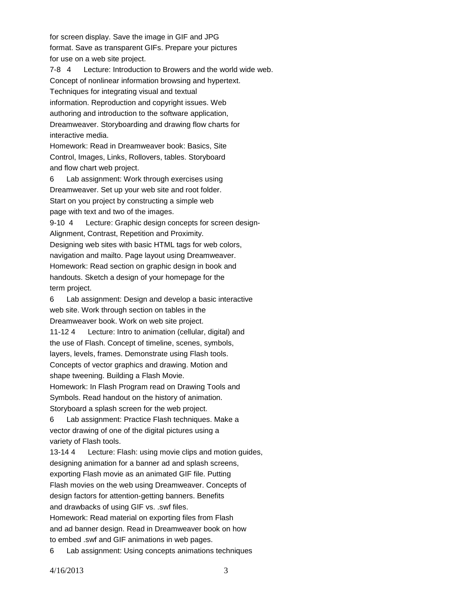for screen display. Save the image in GIF and JPG format. Save as transparent GIFs. Prepare your pictures for use on a web site project.

7-8 4 Lecture: Introduction to Browers and the world wide web. Concept of nonlinear information browsing and hypertext. Techniques for integrating visual and textual information. Reproduction and copyright issues. Web authoring and introduction to the software application, Dreamweaver. Storyboarding and drawing flow charts for interactive media.

Homework: Read in Dreamweaver book: Basics, Site Control, Images, Links, Rollovers, tables. Storyboard and flow chart web project.

6 Lab assignment: Work through exercises using Dreamweaver. Set up your web site and root folder. Start on you project by constructing a simple web page with text and two of the images.

9-10 4 Lecture: Graphic design concepts for screen design-Alignment, Contrast, Repetition and Proximity. Designing web sites with basic HTML tags for web colors, navigation and mailto. Page layout using Dreamweaver. Homework: Read section on graphic design in book and handouts. Sketch a design of your homepage for the term project.

6 Lab assignment: Design and develop a basic interactive web site. Work through section on tables in the Dreamweaver book. Work on web site project. 11-12 4 Lecture: Intro to animation (cellular, digital) and

the use of Flash. Concept of timeline, scenes, symbols, layers, levels, frames. Demonstrate using Flash tools. Concepts of vector graphics and drawing. Motion and shape tweening. Building a Flash Movie.

Homework: In Flash Program read on Drawing Tools and Symbols. Read handout on the history of animation. Storyboard a splash screen for the web project.

6 Lab assignment: Practice Flash techniques. Make a vector drawing of one of the digital pictures using a variety of Flash tools.

13-14 4 Lecture: Flash: using movie clips and motion guides, designing animation for a banner ad and splash screens, exporting Flash movie as an animated GIF file. Putting Flash movies on the web using Dreamweaver. Concepts of design factors for attention-getting banners. Benefits and drawbacks of using GIF vs. .swf files.

Homework: Read material on exporting files from Flash and ad banner design. Read in Dreamweaver book on how to embed .swf and GIF animations in web pages.

6 Lab assignment: Using concepts animations techniques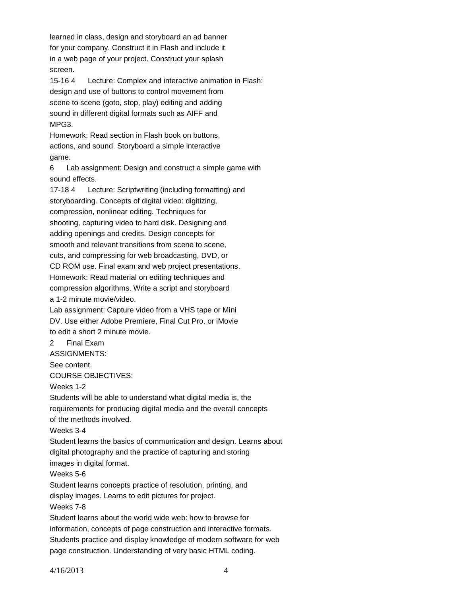learned in class, design and storyboard an ad banner for your company. Construct it in Flash and include it in a web page of your project. Construct your splash screen.

15-16 4 Lecture: Complex and interactive animation in Flash: design and use of buttons to control movement from scene to scene (goto, stop, play) editing and adding sound in different digital formats such as AIFF and MPG3.

Homework: Read section in Flash book on buttons, actions, and sound. Storyboard a simple interactive game.

6 Lab assignment: Design and construct a simple game with sound effects.

17-18 4 Lecture: Scriptwriting (including formatting) and storyboarding. Concepts of digital video: digitizing, compression, nonlinear editing. Techniques for shooting, capturing video to hard disk. Designing and adding openings and credits. Design concepts for smooth and relevant transitions from scene to scene, cuts, and compressing for web broadcasting, DVD, or CD ROM use. Final exam and web project presentations. Homework: Read material on editing techniques and compression algorithms. Write a script and storyboard a 1-2 minute movie/video.

Lab assignment: Capture video from a VHS tape or Mini DV. Use either Adobe Premiere, Final Cut Pro, or iMovie to edit a short 2 minute movie.

# 2 Final Exam

ASSIGNMENTS:

See content.

COURSE OBJECTIVES:

Weeks 1-2

Students will be able to understand what digital media is, the requirements for producing digital media and the overall concepts of the methods involved.

Weeks 3-4

Student learns the basics of communication and design. Learns about digital photography and the practice of capturing and storing images in digital format.

Weeks 5-6

Student learns concepts practice of resolution, printing, and display images. Learns to edit pictures for project. Weeks 7-8

Student learns about the world wide web: how to browse for information, concepts of page construction and interactive formats. Students practice and display knowledge of modern software for web page construction. Understanding of very basic HTML coding.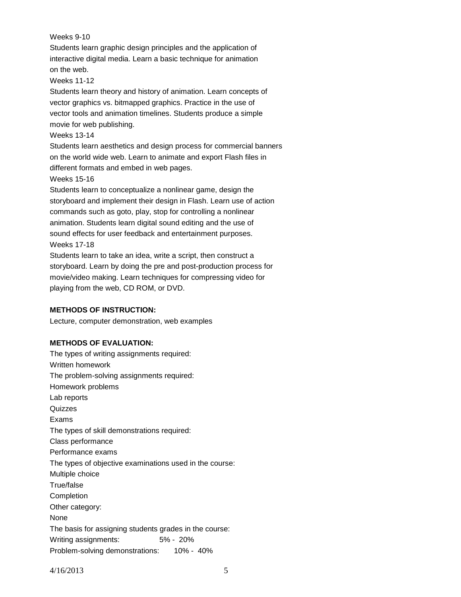Weeks 9-10

Students learn graphic design principles and the application of interactive digital media. Learn a basic technique for animation on the web.

Weeks 11-12

Students learn theory and history of animation. Learn concepts of vector graphics vs. bitmapped graphics. Practice in the use of vector tools and animation timelines. Students produce a simple movie for web publishing.

Weeks 13-14

Students learn aesthetics and design process for commercial banners on the world wide web. Learn to animate and export Flash files in different formats and embed in web pages.

Weeks 15-16

Students learn to conceptualize a nonlinear game, design the storyboard and implement their design in Flash. Learn use of action commands such as goto, play, stop for controlling a nonlinear animation. Students learn digital sound editing and the use of sound effects for user feedback and entertainment purposes. Weeks 17-18

Students learn to take an idea, write a script, then construct a storyboard. Learn by doing the pre and post-production process for movie/video making. Learn techniques for compressing video for playing from the web, CD ROM, or DVD.

## **METHODS OF INSTRUCTION:**

Lecture, computer demonstration, web examples

## **METHODS OF EVALUATION:**

The types of writing assignments required: Written homework The problem-solving assignments required: Homework problems Lab reports **Quizzes** Exams The types of skill demonstrations required: Class performance Performance exams The types of objective examinations used in the course: Multiple choice True/false Completion Other category: None The basis for assigning students grades in the course: Writing assignments: 5% - 20% Problem-solving demonstrations: 10% - 40%